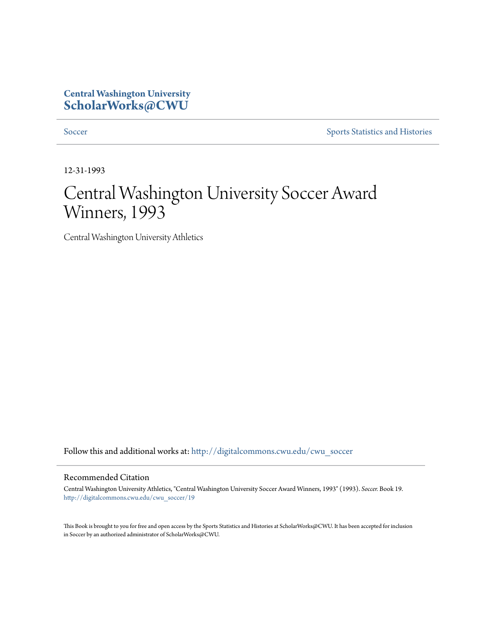## **Central Washington University [ScholarWorks@CWU](http://digitalcommons.cwu.edu?utm_source=digitalcommons.cwu.edu%2Fcwu_soccer%2F19&utm_medium=PDF&utm_campaign=PDFCoverPages)**

[Soccer](http://digitalcommons.cwu.edu/cwu_soccer?utm_source=digitalcommons.cwu.edu%2Fcwu_soccer%2F19&utm_medium=PDF&utm_campaign=PDFCoverPages) [Sports Statistics and Histories](http://digitalcommons.cwu.edu/cwu_sports_statistics?utm_source=digitalcommons.cwu.edu%2Fcwu_soccer%2F19&utm_medium=PDF&utm_campaign=PDFCoverPages)

12-31-1993

# Central Washington University Soccer Award Winners, 1993

Central Washington University Athletics

Follow this and additional works at: [http://digitalcommons.cwu.edu/cwu\\_soccer](http://digitalcommons.cwu.edu/cwu_soccer?utm_source=digitalcommons.cwu.edu%2Fcwu_soccer%2F19&utm_medium=PDF&utm_campaign=PDFCoverPages)

#### Recommended Citation

Central Washington University Athletics, "Central Washington University Soccer Award Winners, 1993" (1993). *Soccer.* Book 19. [http://digitalcommons.cwu.edu/cwu\\_soccer/19](http://digitalcommons.cwu.edu/cwu_soccer/19?utm_source=digitalcommons.cwu.edu%2Fcwu_soccer%2F19&utm_medium=PDF&utm_campaign=PDFCoverPages)

This Book is brought to you for free and open access by the Sports Statistics and Histories at ScholarWorks@CWU. It has been accepted for inclusion in Soccer by an authorized administrator of ScholarWorks@CWU.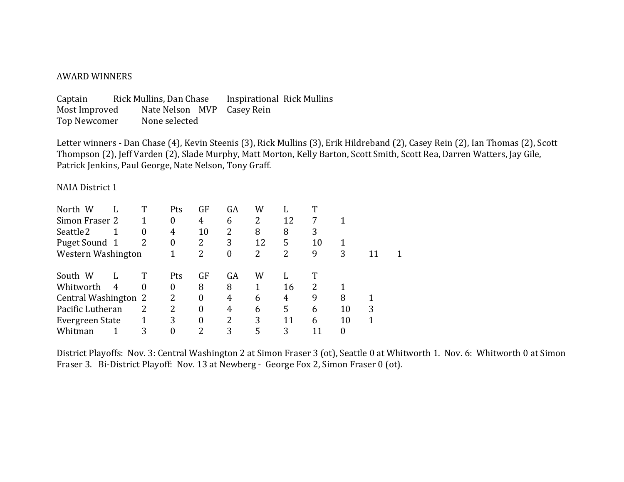#### **AWARD WINNERS**

Captain Rick Mullins, Dan Chase Inspirational Rick Mullins Most Improved Nate Nelson MVP Casey Rein Top Newcomer None selected

Letter winners - Dan Chase (4), Kevin Steenis (3), Rick Mullins (3), Erik Hildreband (2), Casey Rein (2), Ian Thomas (2), Scott Thompson (2), Jeff Varden (2), Slade Murphy, Matt Morton, Kelly Barton, Scott Smith, Scott Rea, Darren Watters, Jay Gile, Patrick Jenkins, Paul George, Nate Nelson, Tony Graff.

#### NAIA District 1

| North W              |   |   | Pts      | GF | GA | W  |    | ௱  |          |   |  |
|----------------------|---|---|----------|----|----|----|----|----|----------|---|--|
| Simon Fraser 2       |   |   | $\theta$ | 4  | 6  | 2  | 12 | 7  |          |   |  |
| Seattle 2            |   | 0 | 4        | 10 | 2  | 8  | 8  | 3  |          |   |  |
| Puget Sound 1        |   | 2 | $\theta$ | 2  | 3  | 12 | 5  | 10 |          |   |  |
| Western Washington   |   |   |          |    | 0  | 2  | 2  | 9  | 3        | T |  |
| South W              |   |   | Pts      | GF | GA | W  |    | Т  |          |   |  |
| Whitworth            | 4 | 0 | 0        | 8  | 8  |    | 16 | 2  |          |   |  |
| Central Washington 2 |   |   | 2        | 0  | 4  | 6  | 4  | 9  | 8        |   |  |
| Pacific Lutheran     |   | 2 | 2        | 0  | 4  | 6  | 5  | 6  | 10       | 3 |  |
| Evergreen State      |   |   | 3        | 0  | 2  | 3  | 11 | 6  | 10       |   |  |
| Whitman              |   | 3 |          | 2  | 3  | 5  | 3  |    | $\Omega$ |   |  |

District Playoffs: Nov. 3: Central Washington 2 at Simon Fraser 3 (ot), Seattle 0 at Whitworth 1. Nov. 6: Whitworth 0 at Simon Fraser 3. Bi-District Playoff: Nov. 13 at Newberg - George Fox 2, Simon Fraser 0 (ot).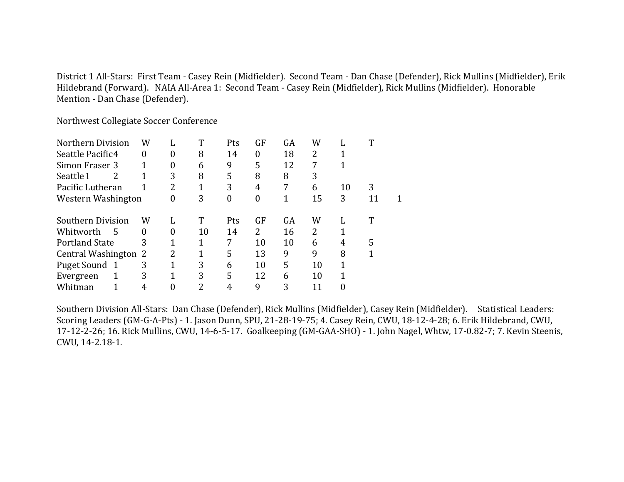District 1 All-Stars: First Team - Casey Rein (Midfielder). Second Team - Dan Chase (Defender), Rick Mullins (Midfielder), Erik Hildebrand (Forward). NAIA All-Area 1: Second Team - Casey Rein (Midfielder), Rick Mullins (Midfielder). Honorable Mention - Dan Chase (Defender).

Northwest Collegiate Soccer Conference

| Northern Division          | W |   | T  | Pts | GF | GA | W  |    | m  |  |
|----------------------------|---|---|----|-----|----|----|----|----|----|--|
| Seattle Pacific4           | 0 | 0 | 8  | 14  | 0  | 18 | 2  |    |    |  |
| Simon Fraser 3             |   | 0 | 6  | 9   | 5  | 12 | 7  | 1  |    |  |
| Seattle 1<br>$\mathcal{L}$ |   | 3 | 8  | 5   | 8  | 8  | 3  |    |    |  |
| Pacific Lutheran           |   | 2 |    | 3   | 4  | 7  | 6  | 10 | 3  |  |
| Western Washington         |   | 0 | 3  | 0   | 0  |    | 15 | 3  | 11 |  |
| Southern Division<br>W     |   | L | T  | Pts | GF | GA | W  | L  | T  |  |
| Whitworth<br>- 5           | 0 | 0 | 10 | 14  | 2  | 16 | 2  |    |    |  |
| 3<br><b>Portland State</b> |   | 1 |    | 7   | 10 | 10 | 6  | 4  | 5  |  |
| Central Washington 2       |   | 2 | 1  | 5   | 13 | 9  | 9  | 8  | 1  |  |
| Puget Sound 1              | 3 |   | 3  | 6   | 10 | 5  | 10 | 1  |    |  |
| Evergreen                  | 3 | 1 | 3  | 5   | 12 | 6  | 10 |    |    |  |
| Whitman                    | 4 | 0 | 2  | 4   | 9  | 3  | 11 |    |    |  |

Southern Division All-Stars: Dan Chase (Defender), Rick Mullins (Midfielder), Casey Rein (Midfielder). Statistical Leaders: Scoring Leaders (GM-G-A-Pts) - 1. Jason Dunn, SPU, 21-28-19-75; 4. Casey Rein, CWU, 18-12-4-28; 6. Erik Hildebrand, CWU, 17-12-2-26; 16. Rick Mullins, CWU, 14-6-5-17. Goalkeeping (GM-GAA-SHO) - 1. John Nagel, Whtw, 17-0.82-7; 7. Kevin Steenis, CWU, 14-2.18-1.